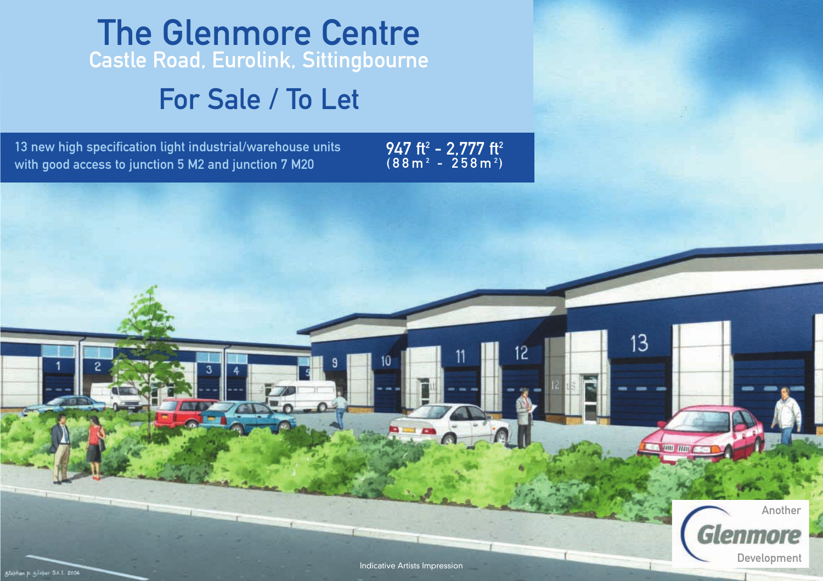# The Glenmore Centre Castle Road, Eurolink, Sittingbourne

# For Sale / To Let

13 new high specification light industrial/warehouse units with good access to junction 5 M2 and junction 7 M20

947 ft<sup>2</sup> - 2,777 ft<sup>2</sup>  $(88 m<sup>2</sup> - 258 m<sup>2</sup>)$